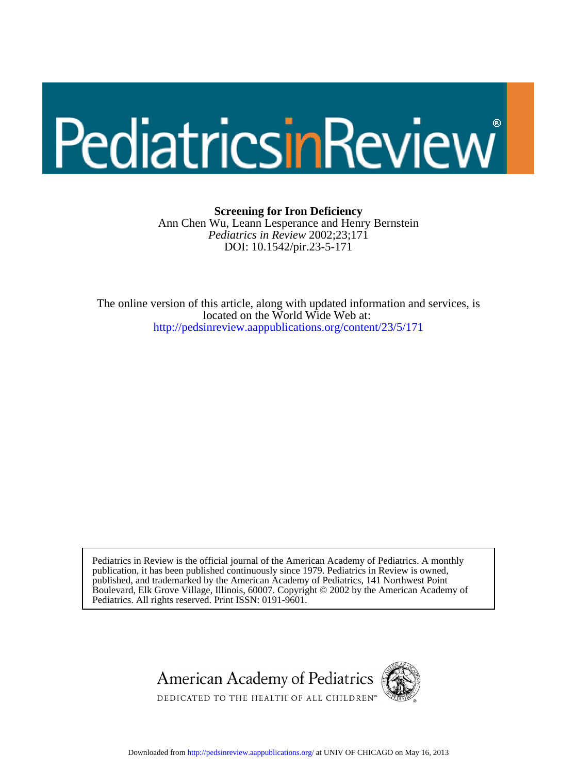# PediatricsinReview®

DOI: 10.1542/pir.23-5-171 *Pediatrics in Review* 2002;23;171 Ann Chen Wu, Leann Lesperance and Henry Bernstein **Screening for Iron Deficiency**

<http://pedsinreview.aappublications.org/content/23/5/171> located on the World Wide Web at: The online version of this article, along with updated information and services, is

Pediatrics. All rights reserved. Print ISSN: 0191-9601. Boulevard, Elk Grove Village, Illinois, 60007. Copyright © 2002 by the American Academy of published, and trademarked by the American Academy of Pediatrics, 141 Northwest Point publication, it has been published continuously since 1979. Pediatrics in Review is owned, Pediatrics in Review is the official journal of the American Academy of Pediatrics. A monthly



Downloaded from<http://pedsinreview.aappublications.org/>at UNIV OF CHICAGO on May 16, 2013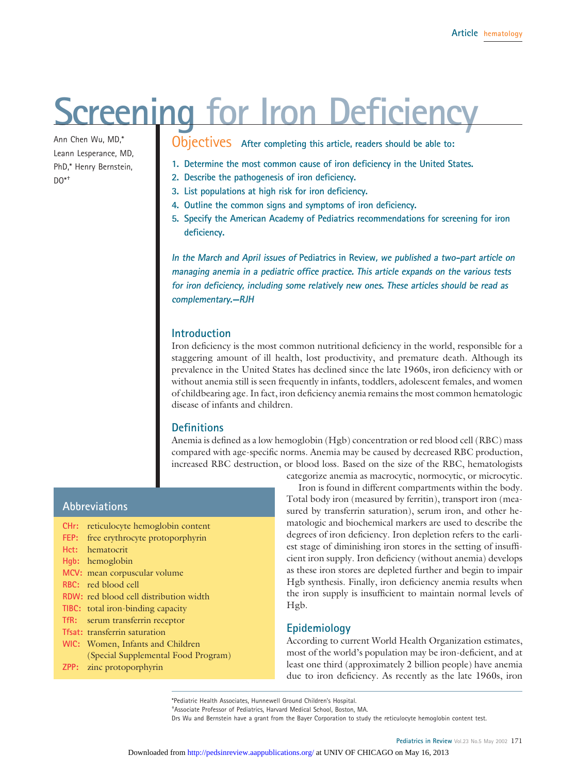# **Screening for Iron Deficiency**

Ann Chen Wu, MD,\* Leann Lesperance, MD, PhD,\* Henry Bernstein,  $DO<sup>*+</sup>$ 

### Objectives **After completing this article, readers should be able to:**

- **1. Determine the most common cause of iron deficiency in the United States.**
- **2. Describe the pathogenesis of iron deficiency.**
- **3. List populations at high risk for iron deficiency.**
- **4. Outline the common signs and symptoms of iron deficiency.**
- **5. Specify the American Academy of Pediatrics recommendations for screening for iron deficiency.**

In the March and April issues of Pediatrics in Review, we published a two-part article on managing anemia in a pediatric office practice. This article expands on the various tests for iron deficiency, including some relatively new ones. These articles should be read as **complementary.—RJH**

#### **Introduction**

Iron deficiency is the most common nutritional deficiency in the world, responsible for a staggering amount of ill health, lost productivity, and premature death. Although its prevalence in the United States has declined since the late 1960s, iron deficiency with or without anemia still is seen frequently in infants, toddlers, adolescent females, and women of childbearing age. In fact, iron deficiency anemia remains the most common hematologic disease of infants and children.

#### **Definitions**

Anemia is defined as a low hemoglobin (Hgb) concentration or red blood cell (RBC) mass compared with age-specific norms. Anemia may be caused by decreased RBC production, increased RBC destruction, or blood loss. Based on the size of the RBC, hematologists categorize anemia as macrocytic, normocytic, or microcytic.

#### **Abbreviations**

**CHr:** reticulocyte hemoglobin content **FEP:** free erythrocyte protoporphyrin **Hct:** hematocrit **Hgb:** hemoglobin **MCV:** mean corpuscular volume **RBC:** red blood cell **RDW:** red blood cell distribution width **TIBC:** total iron-binding capacity **TfR:** serum transferrin receptor **Tfsat:** transferrin saturation **WIC:** Women, Infants and Children (Special Supplemental Food Program) **ZPP:** zinc protoporphyrin

sured by transferrin saturation), serum iron, and other hematologic and biochemical markers are used to describe the degrees of iron deficiency. Iron depletion refers to the earliest stage of diminishing iron stores in the setting of insuffi-

Iron is found in different compartments within the body. Total body iron (measured by ferritin), transport iron (mea-

cient iron supply. Iron deficiency (without anemia) develops as these iron stores are depleted further and begin to impair Hgb synthesis. Finally, iron deficiency anemia results when the iron supply is insufficient to maintain normal levels of Hgb.

#### **Epidemiology**

According to current World Health Organization estimates, most of the world's population may be iron-deficient, and at least one third (approximately 2 billion people) have anemia due to iron deficiency. As recently as the late 1960s, iron

Downloaded from<http://pedsinreview.aappublications.org/>at UNIV OF CHICAGO on May 16, 2013

<sup>\*</sup>Pediatric Health Associates, Hunnewell Ground Children's Hospital. † Associate Professor of Pediatrics, Harvard Medical School, Boston, MA.

Drs Wu and Bernstein have a grant from the Bayer Corporation to study the reticulocyte hemoglobin content test.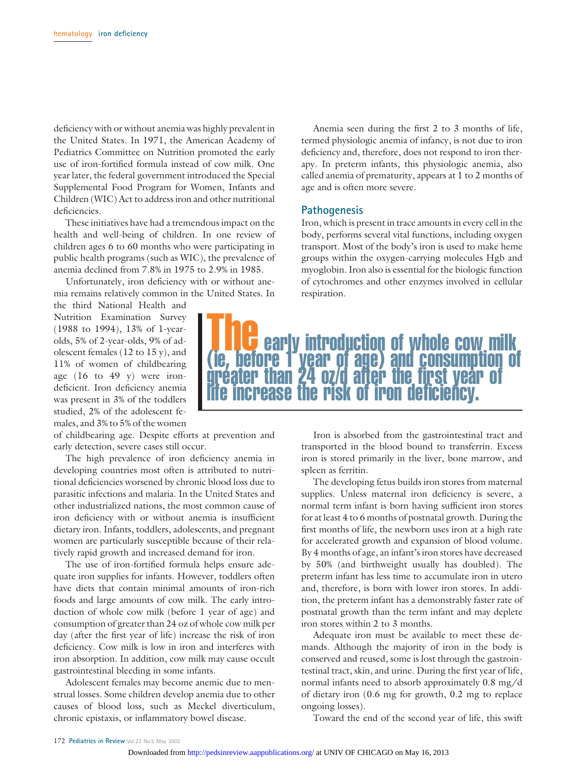deficiency with or without anemia was highly prevalent in the United States. In 1971, the American Academy of Pediatrics Committee on Nutrition promoted the early use of iron-fortified formula instead of cow milk. One year later, the federal government introduced the Special Supplemental Food Program for Women, Infants and Children (WIC) Act to address iron and other nutritional deficiencies.

These initiatives have had a tremendous impact on the health and well-being of children. In one review of children ages 6 to 60 months who were participating in public health programs (such as WIC), the prevalence of anemia declined from 7.8% in 1975 to 2.9% in 1985.

Unfortunately, iron deficiency with or without anemia remains relatively common in the United States. In

the third National Health and Nutrition Examination Survey (1988 to 1994), 13% of 1-yearolds, 5% of 2-year-olds, 9% of adolescent females (12 to 15 y), and 11% of women of childbearing age (16 to 49 y) were irondeficient. Iron deficiency anemia was present in 3% of the toddlers studied, 2% of the adolescent females, and 3% to 5% of the women

of childbearing age. Despite efforts at prevention and early detection, severe cases still occur.

The high prevalence of iron deficiency anemia in developing countries most often is attributed to nutritional deficiencies worsened by chronic blood loss due to parasitic infections and malaria. In the United States and other industrialized nations, the most common cause of iron deficiency with or without anemia is insufficient dietary iron. Infants, toddlers, adolescents, and pregnant women are particularly susceptible because of their relatively rapid growth and increased demand for iron.

The use of iron-fortified formula helps ensure adequate iron supplies for infants. However, toddlers often have diets that contain minimal amounts of iron-rich foods and large amounts of cow milk. The early introduction of whole cow milk (before 1 year of age) and consumption of greater than 24 oz of whole cow milk per day (after the first year of life) increase the risk of iron deficiency. Cow milk is low in iron and interferes with iron absorption. In addition, cow milk may cause occult gastrointestinal bleeding in some infants.

Adolescent females may become anemic due to menstrual losses. Some children develop anemia due to other causes of blood loss, such as Meckel diverticulum, chronic epistaxis, or inflammatory bowel disease.

Anemia seen during the first 2 to 3 months of life, termed physiologic anemia of infancy, is not due to iron deficiency and, therefore, does not respond to iron therapy. In preterm infants, this physiologic anemia, also called anemia of prematurity, appears at 1 to 2 months of age and is often more severe.

#### **Pathogenesis**

Iron, which is present in trace amounts in every cell in the body, performs several vital functions, including oxygen transport. Most of the body's iron is used to make heme groups within the oxygen-carrying molecules Hgb and myoglobin. Iron also is essential for the biologic function of cytochromes and other enzymes involved in cellular respiration.



Iron is absorbed from the gastrointestinal tract and transported in the blood bound to transferrin. Excess iron is stored primarily in the liver, bone marrow, and spleen as ferritin.

The developing fetus builds iron stores from maternal supplies. Unless maternal iron deficiency is severe, a normal term infant is born having sufficient iron stores for at least 4 to 6 months of postnatal growth. During the first months of life, the newborn uses iron at a high rate for accelerated growth and expansion of blood volume. By 4 months of age, an infant's iron stores have decreased by 50% (and birthweight usually has doubled). The preterm infant has less time to accumulate iron in utero and, therefore, is born with lower iron stores. In addition, the preterm infant has a demonstrably faster rate of postnatal growth than the term infant and may deplete iron stores within 2 to 3 months.

Adequate iron must be available to meet these demands. Although the majority of iron in the body is conserved and reused, some is lost through the gastrointestinal tract, skin, and urine. During the first year of life, normal infants need to absorb approximately 0.8 mg/d of dietary iron (0.6 mg for growth, 0.2 mg to replace ongoing losses).

Toward the end of the second year of life, this swift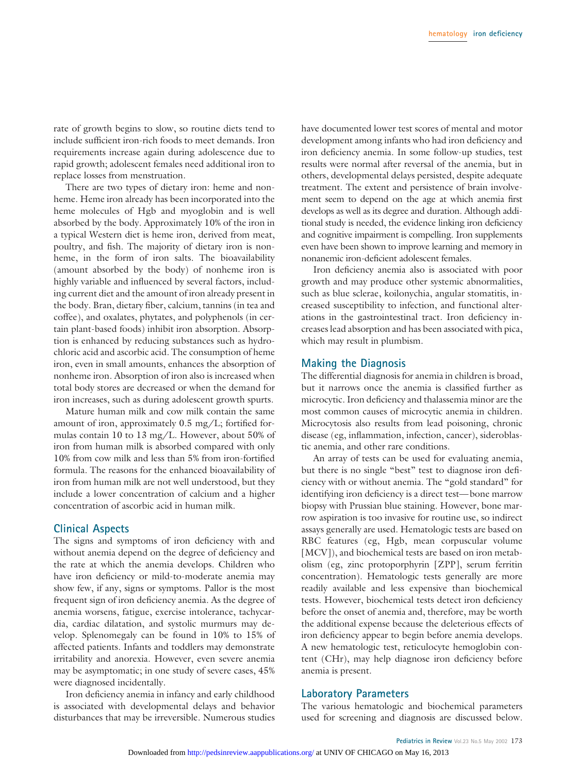rate of growth begins to slow, so routine diets tend to include sufficient iron-rich foods to meet demands. Iron requirements increase again during adolescence due to rapid growth; adolescent females need additional iron to replace losses from menstruation.

There are two types of dietary iron: heme and nonheme. Heme iron already has been incorporated into the heme molecules of Hgb and myoglobin and is well absorbed by the body. Approximately 10% of the iron in a typical Western diet is heme iron, derived from meat, poultry, and fish. The majority of dietary iron is nonheme, in the form of iron salts. The bioavailability (amount absorbed by the body) of nonheme iron is highly variable and influenced by several factors, including current diet and the amount of iron already present in the body. Bran, dietary fiber, calcium, tannins (in tea and coffee), and oxalates, phytates, and polyphenols (in certain plant-based foods) inhibit iron absorption. Absorption is enhanced by reducing substances such as hydrochloric acid and ascorbic acid. The consumption of heme iron, even in small amounts, enhances the absorption of nonheme iron. Absorption of iron also is increased when total body stores are decreased or when the demand for iron increases, such as during adolescent growth spurts.

Mature human milk and cow milk contain the same amount of iron, approximately 0.5 mg/L; fortified formulas contain 10 to 13 mg/L. However, about 50% of iron from human milk is absorbed compared with only 10% from cow milk and less than 5% from iron-fortified formula. The reasons for the enhanced bioavailability of iron from human milk are not well understood, but they include a lower concentration of calcium and a higher concentration of ascorbic acid in human milk.

#### **Clinical Aspects**

The signs and symptoms of iron deficiency with and without anemia depend on the degree of deficiency and the rate at which the anemia develops. Children who have iron deficiency or mild-to-moderate anemia may show few, if any, signs or symptoms. Pallor is the most frequent sign of iron deficiency anemia. As the degree of anemia worsens, fatigue, exercise intolerance, tachycardia, cardiac dilatation, and systolic murmurs may develop. Splenomegaly can be found in 10% to 15% of affected patients. Infants and toddlers may demonstrate irritability and anorexia. However, even severe anemia may be asymptomatic; in one study of severe cases, 45% were diagnosed incidentally.

Iron deficiency anemia in infancy and early childhood is associated with developmental delays and behavior disturbances that may be irreversible. Numerous studies

have documented lower test scores of mental and motor development among infants who had iron deficiency and iron deficiency anemia. In some follow-up studies, test results were normal after reversal of the anemia, but in others, developmental delays persisted, despite adequate treatment. The extent and persistence of brain involvement seem to depend on the age at which anemia first develops as well as its degree and duration. Although additional study is needed, the evidence linking iron deficiency and cognitive impairment is compelling. Iron supplements even have been shown to improve learning and memory in nonanemic iron-deficient adolescent females.

Iron deficiency anemia also is associated with poor growth and may produce other systemic abnormalities, such as blue sclerae, koilonychia, angular stomatitis, increased susceptibility to infection, and functional alterations in the gastrointestinal tract. Iron deficiency increases lead absorption and has been associated with pica, which may result in plumbism.

#### **Making the Diagnosis**

The differential diagnosis for anemia in children is broad, but it narrows once the anemia is classified further as microcytic. Iron deficiency and thalassemia minor are the most common causes of microcytic anemia in children. Microcytosis also results from lead poisoning, chronic disease (eg, inflammation, infection, cancer), sideroblastic anemia, and other rare conditions.

An array of tests can be used for evaluating anemia, but there is no single "best" test to diagnose iron deficiency with or without anemia. The "gold standard" for identifying iron deficiency is a direct test—bone marrow biopsy with Prussian blue staining. However, bone marrow aspiration is too invasive for routine use, so indirect assays generally are used. Hematologic tests are based on RBC features (eg, Hgb, mean corpuscular volume [MCV]), and biochemical tests are based on iron metabolism (eg, zinc protoporphyrin [ZPP], serum ferritin concentration). Hematologic tests generally are more readily available and less expensive than biochemical tests. However, biochemical tests detect iron deficiency before the onset of anemia and, therefore, may be worth the additional expense because the deleterious effects of iron deficiency appear to begin before anemia develops. A new hematologic test, reticulocyte hemoglobin content (CHr), may help diagnose iron deficiency before anemia is present.

#### **Laboratory Parameters**

The various hematologic and biochemical parameters used for screening and diagnosis are discussed below.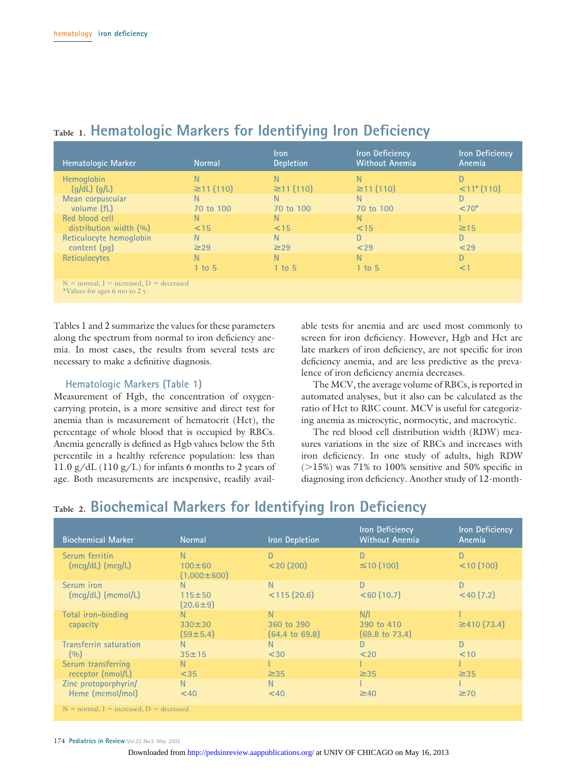| Hematologic Marker                          | <b>Normal</b>   | <b>Iron</b><br><b>Depletion</b> | <b>Iron Deficiency</b><br><b>Without Anemia</b> | Iron Deficiency<br>Anemia |
|---------------------------------------------|-----------------|---------------------------------|-------------------------------------------------|---------------------------|
| <b>Hemoglobin</b>                           | N.              | N                               | N                                               | D                         |
| $(g/dL)$ $(g/L)$                            | $\geq$ 11 (110) | $\geq$ 11 (110)                 | $\geq$ 11 (110)                                 | $<$ 11 <sup>*</sup> (110) |
| Mean corpuscular                            | N.              | N.                              | N.                                              | D.                        |
| volume (fL)                                 | 70 to 100       | 70 to 100                       | 70 to 100                                       | $< 70*$                   |
| Red blood cell                              | <sup>N</sup>    | N                               | N                                               | $\geq$ 15                 |
| distribution width (%)                      | < 15            | < 15                            | < 15                                            |                           |
| Reticulocyte hemoglobin                     | N.              | N.                              | D.                                              | D.                        |
| content (pq)                                | $\geq$ 29       | $\geq$ 29                       | $29$                                            | $29$                      |
| <b>Reticulocytes</b>                        | <sup>N</sup>    | N                               | N                                               | D                         |
|                                             | $1$ to $5$      | $1$ to $5$                      | $1$ to $5$                                      | <1                        |
| $N = normal$ , I = increased, D = decreased |                 |                                 |                                                 |                           |

# **Table 1. Hematologic Markers for Identifying Iron Deficiency**

Values for ages 6 mo to 2 y.

Tables 1 and 2 summarize the values for these parameters along the spectrum from normal to iron deficiency anemia. In most cases, the results from several tests are necessary to make a definitive diagnosis.

#### **Hematologic Markers (Table 1)**

Measurement of Hgb, the concentration of oxygencarrying protein, is a more sensitive and direct test for anemia than is measurement of hematocrit (Hct), the percentage of whole blood that is occupied by RBCs. Anemia generally is defined as Hgb values below the 5th percentile in a healthy reference population: less than 11.0  $g/dL$  (110  $g/L$ ) for infants 6 months to 2 years of age. Both measurements are inexpensive, readily available tests for anemia and are used most commonly to screen for iron deficiency. However, Hgb and Hct are late markers of iron deficiency, are not specific for iron deficiency anemia, and are less predictive as the prevalence of iron deficiency anemia decreases.

The MCV, the average volume of RBCs, is reported in automated analyses, but it also can be calculated as the ratio of Hct to RBC count. MCV is useful for categorizing anemia as microcytic, normocytic, and macrocytic.

The red blood cell distribution width (RDW) measures variations in the size of RBCs and increases with iron deficiency. In one study of adults, high RDW  $(>15%)$  was 71% to 100% sensitive and 50% specific in diagnosing iron deficiency. Another study of 12-month-

# **Table 2. Biochemical Markers for Identifying Iron Deficiency**

| <b>Biochemical Marker</b>                  | <b>Normal</b>                        | <b>Iron Depletion</b>                        | <b>Iron Deficiency</b><br><b>Without Anemia</b> | <b>Iron Deficiency</b><br>Anemia |
|--------------------------------------------|--------------------------------------|----------------------------------------------|-------------------------------------------------|----------------------------------|
| Serum ferritin<br>$(mcg/dL)$ $(mcg/L)$     | N.<br>$100\pm 60$<br>$(1,000\pm600)$ | D<br>$<$ 20 $(200)$                          | D<br>$\leq 10(100)$                             | D<br>$<$ 10 (100)                |
| Serum iron<br>$(mcq/dL)$ (mcmol/L)         | N<br>115±50<br>$(20.6 \pm 9)$        | N.<br>$<$ 115 (20.6)                         | D.<br>< 60(10.7)                                | D.<br>$<$ 40 (7.2)               |
| Total iron-binding<br>capacity             | N<br>$330 \pm 30$<br>$(59 \pm 5.4)$  | N<br>360 to 390<br>$(64.4 \text{ to } 69.8)$ | N/I<br>390 to 410<br>$(69.8 \text{ to } 73.4)$  | $\geq$ 410 (73.4)                |
| <b>Transferrin saturation</b><br>(9/0)     | N<br>$35 + 15$                       | <sup>N</sup><br>$30$                         | D<br>$20$                                       | D<br>< 10                        |
| Serum transferring<br>receptor (nmol/L)    | N.<br>$35$                           | $\geq$ 35                                    | $\geq$ 35                                       | $\geq$ 35                        |
| Zinc protoporphyrin/<br>Heme (mcmol/mol)   | N.<br>< 40                           | N.<br>< 40                                   | $\geq 40$                                       | $\geq 70$                        |
| $N =$ normal, I = increased, D = decreased |                                      |                                              |                                                 |                                  |

174 **Pediatrics in Review** Vol.23 No.5 May 2002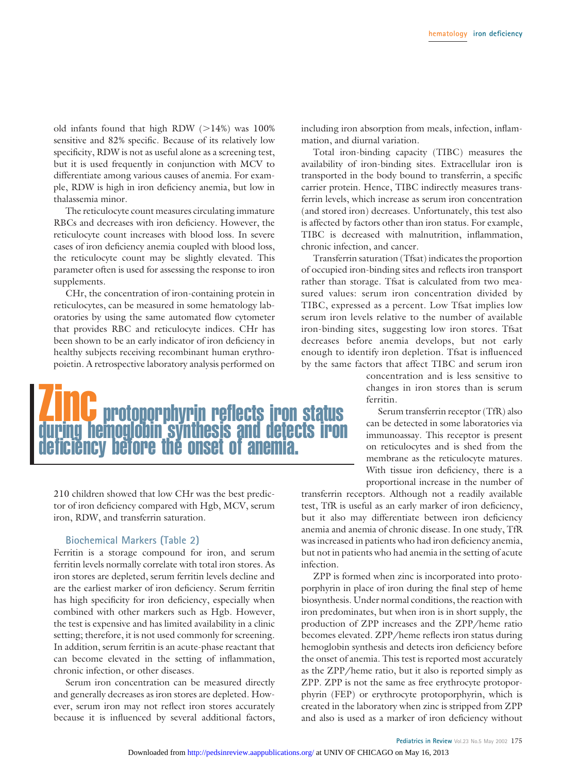old infants found that high RDW  $(>14%)$  was 100% sensitive and 82% specific. Because of its relatively low specificity, RDW is not as useful alone as a screening test, but it is used frequently in conjunction with MCV to differentiate among various causes of anemia. For example, RDW is high in iron deficiency anemia, but low in thalassemia minor.

The reticulocyte count measures circulating immature RBCs and decreases with iron deficiency. However, the reticulocyte count increases with blood loss. In severe cases of iron deficiency anemia coupled with blood loss, the reticulocyte count may be slightly elevated. This parameter often is used for assessing the response to iron supplements.

CHr, the concentration of iron-containing protein in reticulocytes, can be measured in some hematology laboratories by using the same automated flow cytometer that provides RBC and reticulocyte indices. CHr has been shown to be an early indicator of iron deficiency in healthy subjects receiving recombinant human erythropoietin. A retrospective laboratory analysis performed on

# rotoporphyrin reflects iron status<br>ioglobin synthesis and detects iron<br>before the onset of anemia.

210 children showed that low CHr was the best predictor of iron deficiency compared with Hgb, MCV, serum iron, RDW, and transferrin saturation.

#### **Biochemical Markers (Table 2)**

Ferritin is a storage compound for iron, and serum ferritin levels normally correlate with total iron stores. As iron stores are depleted, serum ferritin levels decline and are the earliest marker of iron deficiency. Serum ferritin has high specificity for iron deficiency, especially when combined with other markers such as Hgb. However, the test is expensive and has limited availability in a clinic setting; therefore, it is not used commonly for screening. In addition, serum ferritin is an acute-phase reactant that can become elevated in the setting of inflammation, chronic infection, or other diseases.

Serum iron concentration can be measured directly and generally decreases as iron stores are depleted. However, serum iron may not reflect iron stores accurately because it is influenced by several additional factors,

including iron absorption from meals, infection, inflammation, and diurnal variation.

Total iron-binding capacity (TIBC) measures the availability of iron-binding sites. Extracellular iron is transported in the body bound to transferrin, a specific carrier protein. Hence, TIBC indirectly measures transferrin levels, which increase as serum iron concentration (and stored iron) decreases. Unfortunately, this test also is affected by factors other than iron status. For example, TIBC is decreased with malnutrition, inflammation, chronic infection, and cancer.

Transferrin saturation (Tfsat) indicates the proportion of occupied iron-binding sites and reflects iron transport rather than storage. Tfsat is calculated from two measured values: serum iron concentration divided by TIBC, expressed as a percent. Low Tfsat implies low serum iron levels relative to the number of available iron-binding sites, suggesting low iron stores. Tfsat decreases before anemia develops, but not early enough to identify iron depletion. Tfsat is influenced by the same factors that affect TIBC and serum iron

> concentration and is less sensitive to changes in iron stores than is serum ferritin.

> Serum transferrin receptor (TfR) also can be detected in some laboratories via immunoassay. This receptor is present on reticulocytes and is shed from the membrane as the reticulocyte matures. With tissue iron deficiency, there is a proportional increase in the number of

transferrin receptors. Although not a readily available test, TfR is useful as an early marker of iron deficiency, but it also may differentiate between iron deficiency anemia and anemia of chronic disease. In one study, TfR was increased in patients who had iron deficiency anemia, but not in patients who had anemia in the setting of acute infection.

ZPP is formed when zinc is incorporated into protoporphyrin in place of iron during the final step of heme biosynthesis. Under normal conditions, the reaction with iron predominates, but when iron is in short supply, the production of ZPP increases and the ZPP/heme ratio becomes elevated. ZPP/heme reflects iron status during hemoglobin synthesis and detects iron deficiency before the onset of anemia. This test is reported most accurately as the ZPP/heme ratio, but it also is reported simply as ZPP. ZPP is not the same as free erythrocyte protoporphyrin (FEP) or erythrocyte protoporphyrin, which is created in the laboratory when zinc is stripped from ZPP and also is used as a marker of iron deficiency without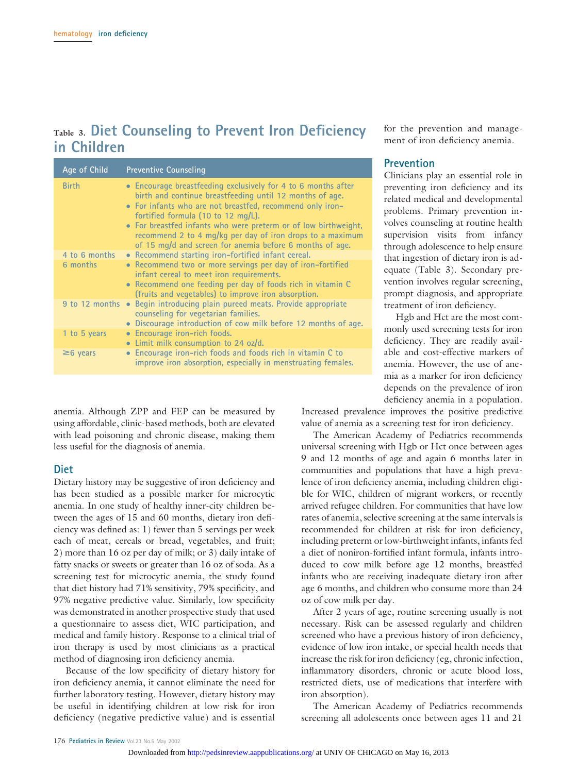## **Table 3. Diet Counseling to Prevent Iron Deficiency in Children**

| Age of Child   | <b>Preventive Counseling</b>                                                                                                                                                                                                                                                                                                                                                                                                                |
|----------------|---------------------------------------------------------------------------------------------------------------------------------------------------------------------------------------------------------------------------------------------------------------------------------------------------------------------------------------------------------------------------------------------------------------------------------------------|
| <b>Birth</b>   | • Encourage breastfeeding exclusively for 4 to 6 months after<br>birth and continue breastfeeding until 12 months of age.<br>• For infants who are not breastfed, recommend only iron-<br>fortified formula $(10 \text{ to } 12 \text{ mg/L}).$<br>• For breastfed infants who were preterm or of low birthweight,<br>recommend 2 to 4 mg/kg per day of iron drops to a maximum<br>of 15 mg/d and screen for anemia before 6 months of age. |
|                | 4 to 6 months • Recommend starting iron-fortified infant cereal.                                                                                                                                                                                                                                                                                                                                                                            |
| 6 months       | • Recommend two or more servings per day of iron-fortified<br>infant cereal to meet iron requirements.<br>• Recommend one feeding per day of foods rich in vitamin C<br>(fruits and vegetables) to improve iron absorption.                                                                                                                                                                                                                 |
|                | 9 to 12 months • Begin introducing plain pureed meats. Provide appropriate<br>counseling for vegetarian families.<br>• Discourage introduction of cow milk before 12 months of age.                                                                                                                                                                                                                                                         |
| 1 to 5 years   | • Encourage iron-rich foods.<br>• Limit milk consumption to 24 oz/d.                                                                                                                                                                                                                                                                                                                                                                        |
| $\geq 6$ years | • Encourage iron-rich foods and foods rich in vitamin C to<br>improve iron absorption, especially in menstruating females.                                                                                                                                                                                                                                                                                                                  |

anemia. Although ZPP and FEP can be measured by using affordable, clinic-based methods, both are elevated with lead poisoning and chronic disease, making them less useful for the diagnosis of anemia.

#### **Diet**

Dietary history may be suggestive of iron deficiency and has been studied as a possible marker for microcytic anemia. In one study of healthy inner-city children between the ages of 15 and 60 months, dietary iron deficiency was defined as: 1) fewer than 5 servings per week each of meat, cereals or bread, vegetables, and fruit; 2) more than 16 oz per day of milk; or 3) daily intake of fatty snacks or sweets or greater than 16 oz of soda. As a screening test for microcytic anemia, the study found that diet history had 71% sensitivity, 79% specificity, and 97% negative predictive value. Similarly, low specificity was demonstrated in another prospective study that used a questionnaire to assess diet, WIC participation, and medical and family history. Response to a clinical trial of iron therapy is used by most clinicians as a practical method of diagnosing iron deficiency anemia.

Because of the low specificity of dietary history for iron deficiency anemia, it cannot eliminate the need for further laboratory testing. However, dietary history may be useful in identifying children at low risk for iron deficiency (negative predictive value) and is essential

for the prevention and management of iron deficiency anemia.

#### **Prevention**

Clinicians play an essential role in preventing iron deficiency and its related medical and developmental problems. Primary prevention involves counseling at routine health supervision visits from infancy through adolescence to help ensure that ingestion of dietary iron is adequate (Table 3). Secondary prevention involves regular screening, prompt diagnosis, and appropriate treatment of iron deficiency.

Hgb and Hct are the most commonly used screening tests for iron deficiency. They are readily available and cost-effective markers of anemia. However, the use of anemia as a marker for iron deficiency depends on the prevalence of iron deficiency anemia in a population.

Increased prevalence improves the positive predictive value of anemia as a screening test for iron deficiency.

The American Academy of Pediatrics recommends universal screening with Hgb or Hct once between ages 9 and 12 months of age and again 6 months later in communities and populations that have a high prevalence of iron deficiency anemia, including children eligible for WIC, children of migrant workers, or recently arrived refugee children. For communities that have low rates of anemia, selective screening at the same intervals is recommended for children at risk for iron deficiency, including preterm or low-birthweight infants, infants fed a diet of noniron-fortified infant formula, infants introduced to cow milk before age 12 months, breastfed infants who are receiving inadequate dietary iron after age 6 months, and children who consume more than 24 oz of cow milk per day.

After 2 years of age, routine screening usually is not necessary. Risk can be assessed regularly and children screened who have a previous history of iron deficiency, evidence of low iron intake, or special health needs that increase the risk for iron deficiency (eg, chronic infection, inflammatory disorders, chronic or acute blood loss, restricted diets, use of medications that interfere with iron absorption).

The American Academy of Pediatrics recommends screening all adolescents once between ages 11 and 21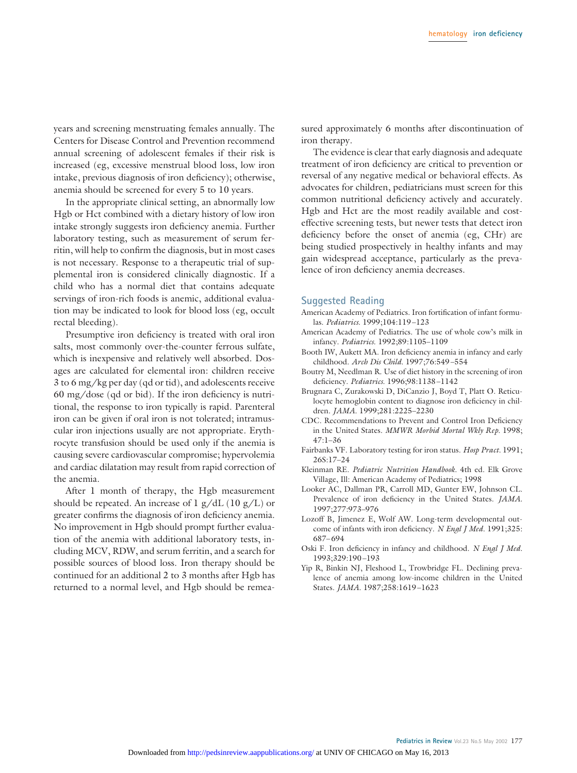years and screening menstruating females annually. The Centers for Disease Control and Prevention recommend annual screening of adolescent females if their risk is increased (eg, excessive menstrual blood loss, low iron intake, previous diagnosis of iron deficiency); otherwise, anemia should be screened for every 5 to 10 years.

In the appropriate clinical setting, an abnormally low Hgb or Hct combined with a dietary history of low iron intake strongly suggests iron deficiency anemia. Further laboratory testing, such as measurement of serum ferritin, will help to confirm the diagnosis, but in most cases is not necessary. Response to a therapeutic trial of supplemental iron is considered clinically diagnostic. If a child who has a normal diet that contains adequate servings of iron-rich foods is anemic, additional evaluation may be indicated to look for blood loss (eg, occult rectal bleeding).

Presumptive iron deficiency is treated with oral iron salts, most commonly over-the-counter ferrous sulfate, which is inexpensive and relatively well absorbed. Dosages are calculated for elemental iron: children receive 3 to 6 mg/kg per day (qd or tid), and adolescents receive 60 mg/dose (qd or bid). If the iron deficiency is nutritional, the response to iron typically is rapid. Parenteral iron can be given if oral iron is not tolerated; intramuscular iron injections usually are not appropriate. Erythrocyte transfusion should be used only if the anemia is causing severe cardiovascular compromise; hypervolemia and cardiac dilatation may result from rapid correction of the anemia.

After 1 month of therapy, the Hgb measurement should be repeated. An increase of  $1 g/dL (10 g/L)$  or greater confirms the diagnosis of iron deficiency anemia. No improvement in Hgb should prompt further evaluation of the anemia with additional laboratory tests, including MCV, RDW, and serum ferritin, and a search for possible sources of blood loss. Iron therapy should be continued for an additional 2 to 3 months after Hgb has returned to a normal level, and Hgb should be remeasured approximately 6 months after discontinuation of iron therapy.

The evidence is clear that early diagnosis and adequate treatment of iron deficiency are critical to prevention or reversal of any negative medical or behavioral effects. As advocates for children, pediatricians must screen for this common nutritional deficiency actively and accurately. Hgb and Hct are the most readily available and costeffective screening tests, but newer tests that detect iron deficiency before the onset of anemia (eg, CHr) are being studied prospectively in healthy infants and may gain widespread acceptance, particularly as the prevalence of iron deficiency anemia decreases.

#### **Suggested Reading**

- American Academy of Pediatrics. Iron fortification of infant formulas. *Pediatrics*. 1999;104:119–123
- American Academy of Pediatrics. The use of whole cow's milk in infancy. *Pediatrics*. 1992;89:1105–1109
- Booth IW, Aukett MA. Iron deficiency anemia in infancy and early childhood. *Arch Dis Child*. 1997;76:549–554
- Boutry M, Needlman R. Use of diet history in the screening of iron deficiency. *Pediatrics*. 1996;98:1138–1142
- Brugnara C, Zurakowski D, DiCanzio J, Boyd T, Platt O. Reticulocyte hemoglobin content to diagnose iron deficiency in children. *JAMA*. 1999;281:2225–2230
- CDC. Recommendations to Prevent and Control Iron Deficiency in the United States. *MMWR Morbid Mortal Wkly Rep*. 1998;  $47.1 - 36$
- Fairbanks VF. Laboratory testing for iron status. *Hosp Pract.* 1991; 26S:17–24
- Kleinman RE. *Pediatric Nutrition Handbook*. 4th ed. Elk Grove Village, Ill: American Academy of Pediatrics; 1998
- Looker AC, Dallman PR, Carroll MD, Gunter EW, Johnson CL. Prevalence of iron deficiency in the United States. *JAMA*. 1997;277:973–976
- Lozoff B, Jimenez E, Wolf AW. Long-term developmental outcome of infants with iron deficiency. *N Engl J Med*. 1991;325: 687–694
- Oski F. Iron deficiency in infancy and childhood. *N Engl J Med*. 1993;329:190–193
- Yip R, Binkin NJ, Fleshood L, Trowbridge FL. Declining prevalence of anemia among low-income children in the United States. *JAMA*. 1987;258:1619–1623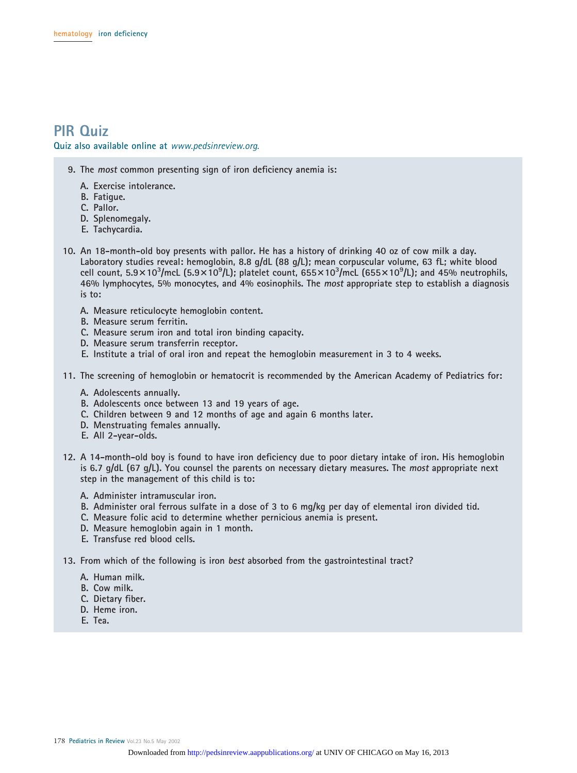#### **PIR Quiz Quiz also available online at** *www.pedsinreview.org*.

- **9. The most common presenting sign of iron deficiency anemia is:**
	- **A. Exercise intolerance.**
	- **B. Fatigue.**
	- **C. Pallor.**
	- **D. Splenomegaly.**
	- **E. Tachycardia.**
- **10. An 18-month-old boy presents with pallor. He has a history of drinking 40 oz of cow milk a day. Laboratory studies reveal: hemoglobin, 8.8 g/dL (88 g/L); mean corpuscular volume, 63 fL; white blood cell count, 5.9**-**103 /mcL (5.9**-**10<sup>9</sup> /L); platelet count, 655**-**103 /mcL (655**-**109 /L); and 45% neutrophils, 46% lymphocytes, 5% monocytes, and 4% eosinophils. The most appropriate step to establish a diagnosis is to:**
	- **A. Measure reticulocyte hemoglobin content.**
	- **B. Measure serum ferritin.**
	- **C. Measure serum iron and total iron binding capacity.**
	- **D. Measure serum transferrin receptor.**
	- **E. Institute a trial of oral iron and repeat the hemoglobin measurement in 3 to 4 weeks.**
- **11. The screening of hemoglobin or hematocrit is recommended by the American Academy of Pediatrics for:**
	- **A. Adolescents annually.**
	- **B. Adolescents once between 13 and 19 years of age.**
	- **C. Children between 9 and 12 months of age and again 6 months later.**
	- **D. Menstruating females annually.**
	- **E. All 2-year-olds.**
- **12. A 14-month-old boy is found to have iron deficiency due to poor dietary intake of iron. His hemoglobin is 6.7 g/dL (67 g/L). You counsel the parents on necessary dietary measures. The most appropriate next step in the management of this child is to:**
	- **A. Administer intramuscular iron.**
	- **B. Administer oral ferrous sulfate in a dose of 3 to 6 mg/kg per day of elemental iron divided tid.**
	- **C. Measure folic acid to determine whether pernicious anemia is present.**
	- **D. Measure hemoglobin again in 1 month.**
	- **E. Transfuse red blood cells.**
- **13. From which of the following is iron best absorbed from the gastrointestinal tract?**
	- **A. Human milk.**
	- **B. Cow milk.**
	- **C. Dietary fiber.**
	- **D. Heme iron.**
	- **E. Tea.**